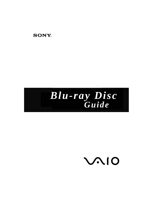

# *Blu-ray Disc Guide*

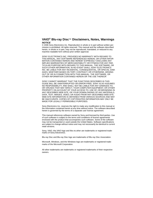#### **VAIO® Blu-ray Disc™ Disclaimers, Notes, Warnings** *NOTICE*

© 2006 Sony Electronics Inc. Reproduction in whole or in part without written permission is prohibited. All rights reserved. This manual and the software described herein, in whole or in part, may not be reproduced, translated, or reduced to any machine readable form without prior written approval.

SONY ELECTRONICS INC. PROVIDES NO WARRANTY WITH REGARD TO THIS MANUAL, ANY SOFTWARE REFERENCED HEREIN, OR OTHER INFOR-MATION CONTAINED HEREIN AND HEREBY EXPRESSLY DISCLAIMS ANY IMPLIED WARRANTIES OF MERCHANTABILITY OR FITNESS FOR ANY PAR-TICULAR PURPOSE WITH REGARD TO THIS MANUAL, THE SOFTWARE, OR SUCH OTHER INFORMATION. IN NO EVENT SHALL SONY ELECTRONICS INC. BE LIABLE FOR ANY INCIDENTAL, CONSEQUENTIAL, OR SPECIAL DAM-AGES, WHETHER BASED ON TORT, CONTRACT, OR OTHERWISE, ARISING OUT OF OR IN CONNECTION WITH THIS MANUAL, THE SOFTWARE, OR OTHER INFORMATION CONTAINED HEREIN OR THE USE THEREOF.

SONY CANNOT WARRANT THAT THE FUNCTIONS DESCRIBED IN THIS GUIDE WILL BE UNINTERRUPTED OR ERROR-FREE. SONY ALSO ASSUMES NO RESPONSIBILITY, AND SHALL NOT BE LIABLE FOR ANY DAMAGES TO, OR VIRUSES THAT MAY INFECT, YOUR COMPUTER EQUIPMENT, OR OTHER PROPERTY ON ACCOUNT OF YOUR ACCESS TO, USE OF, OR BROWSING IN ANY DESCRIBED WEB SITE, OR YOUR DOWNLOADING OF ANY MATERIALS, DATA, TEXT, IMAGES, VIDEO, OR AUDIO FROM ANY DESCRIBED WEB SITE. WEB SITE INFORMATION IS OBTAINED FROM VARIOUS SOURCES AND MAY BE INACCURATE. COPIES OF COPYRIGHTED INFORMATION MAY ONLY BE MADE FOR LEGALLY PERMISSIBLE PURPOSES.

Sony Electronics Inc. reserves the right to make any modification to this manual or the information contained herein at any time without notice. The software described herein is governed by the terms of a separate user license agreement.

This manual references software owned by Sony and licensed by third parties. Use of such software is subject to the terms and conditions of license agreements enclosed with the product that accompanies such software. Some of the software may not be transported or used outside the United States. Software specifications are subject to change without notice and may not necessarily be identical to current retail versions.

Sony, VAIO, the VAIO logo and like.no.other are trademarks or registered trade- marks of Sony Electronics.

Blu-ray Disc and Blu-ray Disc logo are trademarks of Blu-ray Disc Association.

Microsoft, Windows, and the Windows logo are trademarks or registered trademarks of the Microsoft Corporation.

All other trademarks are trademarks or registered trademarks of their respective owners.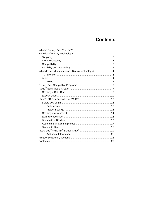## **Contents**

| What do I need to experience Blu-ray technology?  4 |  |
|-----------------------------------------------------|--|
|                                                     |  |
|                                                     |  |
|                                                     |  |
|                                                     |  |
|                                                     |  |
|                                                     |  |
|                                                     |  |
|                                                     |  |
|                                                     |  |
|                                                     |  |
|                                                     |  |
|                                                     |  |
|                                                     |  |
|                                                     |  |
|                                                     |  |
|                                                     |  |
|                                                     |  |
|                                                     |  |
|                                                     |  |
|                                                     |  |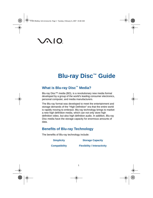# **VAIO**

## **Blu-ray Disc™ Guide**

## **What is Blu-ray Disc™ Media?**

Blu-ray Disc™ media (BD), is a revolutionary new media format developed by a group of the world's leading consumer electronics, personal computer, and media manufacturers.

The Blu-ray format was developed to meet the entertainment and storage demands of the "High Definition" era that the entire world is rapidly moving to embrace. Blu-ray technology brings to market a new high definition media, which can not only store high definition video, but also high definition audio. In addition, Blu-ray Disc media have the storage capacity for enormous amounts of data.

## **Benefits of Blu-ray Technology**

The benefits of Blu-ray technology include:

| <b>Simplicity</b>    | <b>Storage Capacity</b>            |  |
|----------------------|------------------------------------|--|
| <b>Compatibility</b> | <b>Flexibility / Interactivity</b> |  |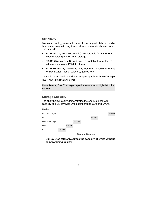## **Simplicity**

Blu-ray technology makes the task of choosing which basic media type to use easy with only three different formats to choose from. They include:

- **BD-R** (Blu-ray Disc Recordable) Recordable format for HD video recording and PC data storage.
- **BD-RE** (Blu-ray Disc Re-writable) Rewritable format for HD video recording and PC data storage.
- **BD-ROM** (Blu ray Disc Read Only Memory) Read only format for HD movies, music, software, games, etc.

These discs are available with a storage capacity of 25  $GB<sup>1</sup>$  (single) layer) and  $50$  GB<sup>1</sup> (dual layer).

**Note**: Blu-ray Disc™ storage capacity totals are for high-definition content.

## **Storage Capacity**

The chart below clearly demonstrates the enormous storage capacity of a Blu-ray Disc when compared to CDs and DVDs.



**Storage Capacity<sup>1</sup>**

**Blu-ray Disc offers five times the capacity of DVDs without compromising quality.**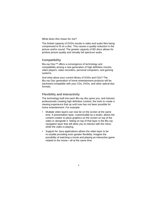**What does this mean for me?**

The limited capacity of DVDs results in video and audio files being compressed to fit on a disc. This causes a quality reduction in the picture and/or sound. The greater capacity of BD discs allows for pristine picture quality and virtually full spectrum audio.

## **Compatibility**

Blu-ray Disc™ offers a convergence of technology and compatibility among a new generation of high definition movies, video players, video recorders, personal computers, and gaming systems.

And what about your current library of DVDs and CDs? The Blu-ray Disc generation of home entertainment products will be backward-compatible with your CDs, DVDs, and other optical disc formats.

## **Flexibility and Interactivity**

The technology built into each Blu-ray disc gives you, and industry professionals creating high definition content, the tools to create a viewing experience that up until now has not been possible for home entertainment. For example:

- Multiple video layers can now be on the screen at the same time. A presentation layer, customizable by a studio, allows the content creator to place graphics on the screen on top of the video or alongside it. Sitting on top of that layer is the Blu-ray navigation layer that will allow you to interact with the menu while the video is playing.
- Support for Java applications allows the video layer to be re-sizable providing even greater flexibility. Imagine the possibility of watching a movie and playing an interactive game related to the movie—all at the same time.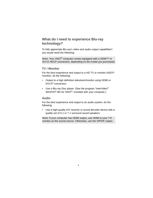## **What do I need to experience Blu-ray technology?**

To fully appreciate Blu-ray's video and audio output capabilities<sup>2</sup>. you would need the following:

**Note**: Your VAIO® computer comes equipped with a HDMI™ or DVI-D HDCP connection, depending on the model you purchased.

### **TV / Monitor**

For the *best* experience and output to a HD TV or monitor (HDCP monitor), do the following:

- Output to a high definition television/monitor using HDMI or DVI-D3 connection.
- Use a Blu-ray Disc player. (See the program "InterVideo<sup>®</sup> WinDVD<sup>®</sup> BD for VAIO<sup>®</sup>" included with your computer.)

#### **Audio**

For the *best* experience and output to an audio system, do the following:

• Use a high-quality A/V receiver or sound decoder device with a quality set of 5.1 or 7.1 surround sound speakers.

**Note**: If your computer has HDMI output, use HDMI to your TV/ monitor as the sound source. Otherwise, use the S/PDIF output.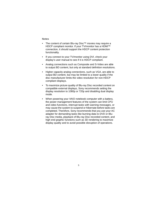#### **Notes**

- The content of certain Blu-ray Disc™ movies may require a HDCP compliant monitor. If your TV/monitor has a HDMI™ connection, it should support the HDCP content protection functionality.
- If you connect to your TV/monitor using DVI, check your display's user manual to see if it is HDCP compliant.
- Analog connections such as Composite and S-Video are able to output BD content, but only at standard definition resolutions.
- Higher capacity analog connections, such as VGA, are able to output BD content, but may be limited to a lower quality if the disc manufacturer limits the video resolution for non-HDCP compliant displays.
- To maximize picture quality of Blu-ray Disc recorded content on compatible external displays, Sony recommends setting the display resolution to 1080p or 720p and disabling dual display mode.
- When powering your VAIO notebook computer with a battery, the power management features of the system can limit CPU and video functions, interrupt tasks with warning messages, or may cause the system to suspend or hibernate before tasks are completed. Therefore, Sony recommends that you use your AC adapter for demanding tasks like burning data to DVD or Bluray Disc media, playback of Blu-ray Disc recorded content, and high end graphic functions such as 3D rendering to maximize display quality and to avoid possible disruption of operations.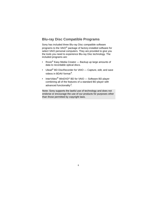## **Blu-ray Disc Compatible Programs**

Sony has included three Blu-ray Disc compatible software programs to the VAIO® package of factory-installed software for select VAIO personal computers. They are provided to give you the tools you need to experience Blu-ray Disc technology. The included programs are:

- Roxio<sup>®</sup> Easy Media Creator Backup up large amounts of data to recordable optical discs.
- Ulead<sup>®</sup> BD DiscRecorder for VAIO Capture, edit, and save videos in BDAV format<sup>4</sup>.
- InterVideo<sup>®</sup> WinDVD<sup>®</sup> BD for VAIO Software BD player combining all of the features of a standard BD player with advanced functionality<sup>2</sup>.

**Note**: Sony supports the lawful use of technology and does not endorse or encourage the use of our products for purposes other than those permitted by copyright laws.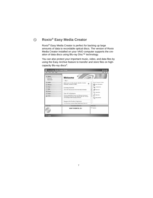## **Roxio® Easy Media Creator**

 $(\mathcal{C}_2)$ 

Roxio® Easy Media Creator is perfect for backing up large amounts of data to recordable optical discs. The version of Roxio Media Creator installed on your VAIO computer supports the creation of data discs using Blu-ray Disc™ technology.

You can also protect your important music, video, and data files by using the Easy Archive feature to transfer and store files on highcapacity Blu-ray discs4.

| File Tools View<br>Help     |                     |                                                                                                                                                                                     | (7)                        |
|-----------------------------|---------------------|-------------------------------------------------------------------------------------------------------------------------------------------------------------------------------------|----------------------------|
| <sup>2</sup> Home           | $\sigma$<br>a,      |                                                                                                                                                                                     |                            |
| <b>Melcome</b><br>Resources |                     | Welcome                                                                                                                                                                             |                            |
|                             |                     | 中島中                                                                                                                                                                                 |                            |
| C Audio                     | $\sim$              | Welcome to the Roxio Media Center<br>₿                                                                                                                                              | Most Frequent Tasks        |
| <b>Backup</b>               | $\mathcal{O}$       | Wednesday, November 15, 2006                                                                                                                                                        | Disc Information           |
| Copy                        | $\scriptstyle\circ$ | <b>Getting Started</b>                                                                                                                                                              | Finalize Disc<br><b>Ma</b> |
| A Data                      | <b>CF</b>           | Click on the "Resources" link for more helpful information.                                                                                                                         | <b>RIA Audio CD</b><br>×   |
| <b>隔 Photo</b>              | <b>O</b>            |                                                                                                                                                                                     | Copy Disc                  |
| ist Video                   | o.                  | <b>Tips &amp; Techniques</b>                                                                                                                                                        |                            |
| <b>ica</b> Tools<br>$\circ$ |                     | Prevent wasted DVDs. Preview your DVD prior to burning an<br>actual disc by saving it as a disc image file first, then viewing it<br>with CinePlayer. Edit if necessary, then burn. | Data Disc<br>Easy Archive  |
|                             |                     | <b>Support &amp; Product Updates</b>                                                                                                                                                |                            |
|                             |                     | As with previous versions of Easy Media Creator, Roxio will                                                                                                                         |                            |
| Insert disc                 | $\sqrt{n}$          | Destination Selection                                                                                                                                                               | Welcome                    |
|                             |                     | SONY DVDRW DL (D:)                                                                                                                                                                  | <b>ED</b> Options          |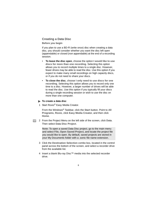## **Creating a Data Disc**

#### **Before you begin**

If you plan to use a BD-R (write once) disc when creating a data disc, you should consider whether you want the disc left open (appendable) or closed (non appendable) at the end of a recording session.

- **To leave the disc open**, choose the option **I would like to use discs for more than one recording**. Selecting this option allows you to record multiple times to a single disc. However, fewer drives may be able to read the disc. Use this option if you expect to make many small recordings on high capacity discs, or if you do not need to share your discs.
- **To close the disc**, choose **I only need to use discs for one recording**. Selecting this option allows you to record only one time to a disc. However, a larger number of drives will be able to read the disc. Use this option if you typically fill your discs during a single recording session or wish to use the disc on more than one computer.

#### **To create a data disc**

1 Start Roxio<sup>®</sup> Easy Media Creator.

From the Windows® Taskbar, click the **Start** button. Point to **All Programs**, **Roxio**, click **Easy Media Creator**, and then click **Home**.

 2 From the Project Menu on the left side of the screen, click **Data**. Then select **Data Disc Project**.

**Note**: To open a saved Data Disc project, go to the main menu and select **File, Open Saved Project,** and locate the project file you would like to open. By default, saved projects are stored in your My Documents folder with a .sonic file name extension.

- 3 Click the **Destination Selection** combo box, located in the control panel across the bottom of the screen, and select a recorder drive from the available list.
- 4 Insert a blank Blu-ray Disc™ media into the selected recorder drive.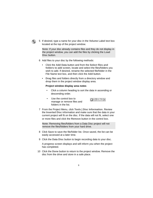

 5 If desired, type a name for your disc in the **Volume Label** text box located at the top of the project window.

**Note**: If your disc already contains files and they do not display in the project window, you can add the files by clicking the **Load Disc** button.

- 6 Add files to your disc by the following methods:
	- Click the **Add Data** button and from the **Select files and folders to add** screen, locate and select the files/folders you wish to add. If desired, rename the selected file/folder in the File Name text box, and then click the **Add** button.
	- **Drag** files and folders directly from a directory window and **drop** them in the project window display area.

#### **Project window display area notes**

- Click a column heading to sort the data in ascending or descending order.
- Use the control box to manage or remove files and folders in the list.



 7 From the Project Menu, click **Tools | Disc Information**. Review the **Inserted Disc** information and make sure that the data in your current project will fit on the disc. If the data will not fit, select one or more files and click the **Remove** button in the control box.

**Note**: Removing files/folders from a Data Disc project will not remove the files/folders from your hard drive.

- 8 Click **Save** to save the file/folder list. Once saved, the list can be easily accessed at a later time.
- 9 Click the **Data Disc** button to begin recording data to your disc.

A progress screen displays and will inform you when the project has completed.

10 Click the **Done** button to return to the project window. Remove the disc from the drive and store in a safe place.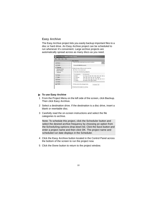## **Easy Archive**

The Easy Archive project lets you easily backup important files to a disc or hard drive. An Easy Archive project can be scheduled to run whenever it's convenient. Large archive projects are automatically spread across as many discs as you need.

|                                                                 | $\left( \bullet \right)$ | <b>Easy Archive</b>                                                                                                              |         |
|-----------------------------------------------------------------|--------------------------|----------------------------------------------------------------------------------------------------------------------------------|---------|
| <b>Cy Home</b>                                                  | s                        | 1. Select the path containing files you wish to archive:                                                                         | $\odot$ |
| Audio                                                           | Q.                       | C:\Users\M4 B6000\Documents                                                                                                      |         |
| <b>Backup</b><br>Backup Guide<br><b>Easy Archive</b><br>Upgrade | ÷                        | 2. Select the types of files you wish to archive:<br>@ All files in the selected path<br>Only files in the following categories: |         |
| C Copy                                                          | $\circ$                  | <b>File Categories</b><br><b>File Pytensions</b>                                                                                 |         |
| A Data                                                          | $\circ$                  | Email<br>pst, msg. att, mbx, mim, mime, mim, wem, dbx, p<br>Financial<br>.qdb, qmd, mn4, mny, tax, txf, qbw files                |         |
| <b>In Photo</b>                                                 | $\circ$                  | Music<br>way, mp3, wma, ogg, aac, m4a, m4p, wpl, asx, m<br><b>Photos</b><br>jpg. jpeg. tif. tiff. bmp. gif files                 |         |
| und Video                                                       | $\ddot{\circ}$           | m                                                                                                                                |         |
| <b>Elli Tools</b>                                               | $\circ$                  | Only Archive files changed since<br>11/15/2006 V                                                                                 |         |

#### **To use Easy Archive**

- 1 From the Project Menu on the left side of the screen, click **Backup**. Then click **Easy Archive**.
- 2 Select a destination drive. If the destination is a disc drive, insert a blank or rewritable disc.
- 3 Carefully read the on-screen instructions and select the file categories to archive.

**Note**: To schedule this project, click the **Scheduler** button and select the desired archive frequency by choosing an option from the **Scheduling options** drop-down list. Click the **Save** button and enter a project name and then click **OK**. The project name and scheduled run date displays in the Scheduler.

- 4 Click the **Easy Archive** button located in the Control Panel across the bottom of the screen to run the project now.
- 5 Click the **Done** button to return to the project window.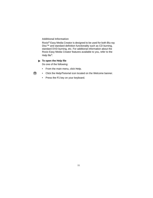#### **Additional Information**

Roxio® Easy Media Creator is designed to be used for both Blu-ray Disc™ and standard definition functionality such as CD burning, standard DVD burning, etc. For additional information about the Roxio Easy Media Creator features available to you, refer to the Help file<sup>5</sup>.

#### **To open the Help file**

Do one of the following:

- From the main menu, click **Help**.
- Click the **Help**/**Tutorial** icon located on the Welcome banner.
- Press the **F1** key on your keyboard.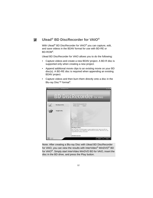#### BD **Ulead® BD DiscRecorder for VAIO®**

With Ulead<sup>®</sup> BD DiscRecorder for VAIO<sup>®</sup> you can capture, edit, and save videos in the BDAV format for use with BD-RE or  $RD-ROM<sup>4</sup>$ 

Ulead BD DiscRecorder for VAIO allows you to do the following:

- Capture videos and create a new BDAV project. A BD-R disc is supported only when creating a new project.
- Append additional movie clips to an existing movie on your BD disc(s). A BD-RE disc is required when appending an existing BDAV project.
- Capture videos and then burn them directly onto a disc in the Blu-ray Disc<sup>™</sup> format<sup>4</sup>.



**Note**: After creating a Blu-ray Disc with Ulead BD DiscRecorder for VAIO, you can view the results with InterVideo<sup>®</sup> WinDVD<sup>®</sup> BD for VAIO®. Simply start InterVideo WinDVD BD for VAIO, insert the disc in the BD drive, and press the **Play** button.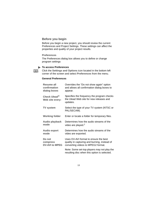#### **Before you begin**

Before you begin a new project, you should review the current Preferences and Project Settings. These settings can affect the properties and quality of your project results.

#### **Preferences**

鳳

The Preferences dialog box allows you to define or change program settings

#### **To access Preferences**

Click the **Settings and Options** icon located in the bottom left corner of the screen and select **Preferences** from the menu.

#### **General Preferences**

| <b>Resume all</b>               | Overrides the "Do not show again" option                                                          |
|---------------------------------|---------------------------------------------------------------------------------------------------|
| confirmation                    | and allows all confirmation dialog boxes to                                                       |
| dialog boxes                    | appear.                                                                                           |
| Check Ulead®<br>Web site every: | Specifies the frequency the program checks<br>the Ulead Web site for new releases and<br>updates. |
| <b>TV system</b>                | Select the type of your TV system (NTSC or<br>PAL/SECAM).                                         |
| <b>Working folder</b>           | Enter or locate a folder for temporary files.                                                     |
| <b>Audio playback</b>           | Determines how the audio streams of the                                                           |
| mode                            | video are played. <sup>2</sup>                                                                    |
| <b>Audio export</b>             | Determines how the audio streams of the                                                           |
| mode                            | video are exported.                                                                               |
| Do not                          | Uses DV-AVI format to ensure the best                                                             |
| compress                        | quality in capturing and burning, instead of                                                      |
| <b>DV-AVI to MPEG</b>           | converting videos to MPEG2 format.                                                                |
|                                 | Note: Some set-top players may not play the<br>resulting disc when this option is selected.       |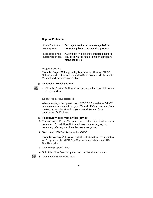#### **Capture Preferences**

| <b>Click OK to start</b>          | Displays a confirmation message before                                                                    |
|-----------------------------------|-----------------------------------------------------------------------------------------------------------|
| <b>DV</b> capture                 | performing the actual capturing process.                                                                  |
| Stop tape once<br>capturing stops | Automatically stops the connected capture<br>device in your computer once the program<br>stops capturing. |

#### **Project Settings**

From the Project Settings dialog box, you can **Change MPEG Settings** and customize your **Video Save** options, which include General and Compression settings.

#### **To access Project Settings**

- 
- Click the **Project Settings** icon located in the lower left corner of the window.

#### **Creating a new project**

When creating a new project. WinDVD<sup>®</sup> BD Recorder for VAIO<sup>®</sup> lets you capture videos from your DV and HDV camcorders, from previous video files stored on your hard drive, and from unprotected DVD video.

#### **To capture videos from a video device**

- 1 Connect your HDV or DV camcorder or other video device to your computer. (For additional information on connecting to your computer, refer to your video device's user guide.)
- 2 Start Ulead<sup>®</sup> BD DiscRecorder for VAIO<sup>®</sup>.

From the Windows® Taskbar, click the **Start** button. Then point to **All Programs**, **Ulead BD DiscRecorder**, and click **Ulead BD DiscRecorder**.

- 3 Click **New/Append Disc**.
- 4 Select the **New Project** option, and click **Next** to continue.
- 5 Click the **Capture Video** icon.

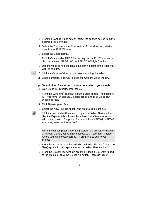- 6 From the Capture Video screen, select the capture device from the **Source** drop-down list.
- 7 Select the Capture Mode. Choose from **Fixed duration**, **Marked duration**, or **Full DV tape**.
- 8 Select the **Video** format.

For HDV camcorder, **MPEG2** is the only option. For DV camcorder, choose between **MPEG**, **AVI**, and **SD BDAV-High Quality**.

- 9 Use the video controls to locate the starting point of the video you want to capture.
- 10 Click the **Capture Video** icon to start capturing the video.
	- 11 When complete, click **OK** to close the Capture Video window.
	- **To add video files stored on your computer to your movie**
		- 1 Start Ulead BD DiscRecorder for VAIO.

From the Windows® Taskbar, click the **Start** button. Then point to **All Programs**, **Ulead BD DiscRecorder**, and click **Ulead BD DiscRecorder**.

- 2 Click **New/Append Disc**.
- 3 Select the **New Project** option, and click **Next** to continue.



 4 Click the **Add Video Files** icon to open the Select Files window. Use the Explorer tab to locate the video folders/files you want to add to your project. Supported formats include **MPEG-1**, **MPEG-2**, **AVI**, **ASF**, **WMV**, and **WMV HD4**.

**Note**: If your computer's operating system is Microsoft® Windows® XP Media Center, you will have access to a Recorded TV folder where you can select recorded TV programs to add to your project.

- 5 From the Explorer tab, click an individual video file or a folder. The file(s) appear in the display area of the Select Files window.
- 6 From the Select Files window, click the video file you want to add to the project or click the **Select All** button. Then click **Open**.

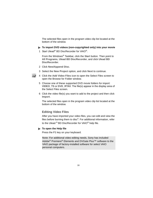The selected files open in the program video clip list located at the bottom of the window.

- **To import DVD videos (non-copyrighted only) into your movie**
- 1 Start Ulead<sup>®</sup> BD DiscRecorder for VAIO<sup>®</sup>.

From the Windows® Taskbar, click the **Start** button. Then point to **All Programs**, **Ulead BD DiscRecorder**, and click **Ulead BD DiscRecorder**.

- 2 Click **New/Append Disc**.
- 3 Select the **New Project** option, and click **Next** to continue.
- 4 Click the **Add Video Files** icon to open the Select Files screen to open the Browse for Folder window.
- 5 Choose one of these supported DVD movie folders for import: **VIDEO\_TS** or **DVD\_RTAV**. The file(s) appear in the display area of the Select Files screen.
- 6 Click the video file(s) you want to add to the project and then click **Import**.

The selected files open in the program video clip list located at the bottom of the window.

### **Editing Video Files**

After you have imported your video files, you can edit and view the files before burning them to disc $4$ . For additional information, refer to the Ulead <sup>®</sup> BD DiscRecorder for VAIO<sup>®</sup> help file.

#### **To open the Help file**

Press the **F1** key on your keyboard.

**Note**: For additional video editing needs, Sony has included Adobe® Premiere® Elements and DVGate Plus™ software to the VAIO package of factory-installed software for select VAIO personal computers.

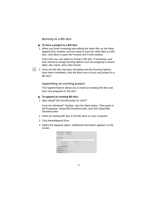### **Burning to a BD disc**

#### **To burn a project to a BD disc**

 1 When you finish reviewing and editing the video files on the New/ Append Disc window, and are ready to burn the video files to a BD disc, click **Next** to open the Preview and Finish window.

From here you can select to format a BD disc, if necessary, and then choose to assign burning options such as assigning a volume label, disc name, and a disc burner.

 2 Once the BD disc has been formatted and the Burning Options have been completed, click the **Burn** icon to burn your project to a  $BD$  disc<sup>4</sup>

### **Appending an existing project**

The Append feature allows you to insert an existing BD disc and burn new programs to the disc<sup>4</sup>.

#### **To append an existing BD disc**

1 Start Ulead<sup>®</sup> BD DiscRecorder for VAIO<sup>®</sup>.

From the Windows® Taskbar, click the **Start** button. Then point to **All Programs**, **Ulead BD DiscRecorder**, and click **Ulead BD DiscRecorder**.

- 2 Insert an existing BD disc in the BD drive on your computer.
- 3 Click **New/Append Disc**.
- 4 Select the **Append** option. Additional information appears on the screen.

| Choose the task you want to do:<br>New project<br>@ Append |        |
|------------------------------------------------------------|--------|
| Select burner:                                             |        |
| No device                                                  | $\sim$ |
| Disc information:<br><b>COLUMN TWO IS NOT</b>              |        |
| Number of media clips:                                     |        |
| Free space:                                                |        |
| Content type:                                              |        |
| Disc type:                                                 |        |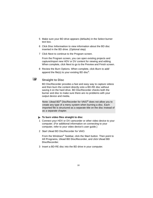- 5 Make sure your BD drive appears (defaults) in the Select burner text box.
- 6 Click **Disc Information** to view information about the BD disc inserted in the BD drive. (Optional step)
- 7 Click **Next** to continue to the Program screen.

From the Program screen, you can open existing projects and capture/import new HDV or DV content for viewing and editing. When complete, click **Next** to go to the Preview and Finish screen.

 8 Review the Burn Options. When complete, click **Burn** to add/ append the file(s) to your existing BD disc<sup>4</sup>.

## **Straight to Disc**

 $\mathbf{a}$ 

BD DiscRecorder provides a fast and easy way to capture videos and then burn the content directly onto a BD-RE disc without saving it on the hard drive. BD DiscRecorder checks both the burner and disc to make sure there are no problems with your output device and media.

**Note**: Ulead BD® DiscRecorder for VAIO® does not allow you to create any type of a menu system when burning a disc. Each imported file is structured as a separate title on the disc instead of as a separate chapter.

#### **To burn video files straight to disc**

- 1 Connect your HDV or DV camcorder or other video device to your computer. (For additional information on connecting to your computer, refer to your video device's user guide.)
- 2 Start Ulead BD DiscRecorder for VAIO.

From the Windows® Taskbar, click the **Start** button. Then point to **All Programs**, **Ulead BD DiscRecorder**, and click **Ulead BD DiscRecorder**.

3 Insert a BD-RE disc into the BD drive in your computer.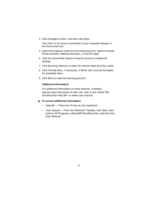4 Click **Straight to Disc**, and then click **Next**.

Your HDV or DV device connected to your computer displays in the Source text box.

- 5 Select the **Capture** mode from the drop-down list. Options include: **Fixed duration**, **Marked duration**, or **Full DV tape**.
- 6 Click the Show/Hide Options Panel for access to additional settings.
- 7 Click **Burning Options** to enter the Volume label and Disc name.
- 8 Click **Format Disc**, if necessary. A BDAV disc must be formatted for rewritable discs.
- 9 Click **Burn** to start the burning process<sup>4</sup>.

#### **Additional Information**

For additional information on these features, including step-by-step instructions on their use, refer to the Ulead<sup>®</sup> BD DiscRecorder Help file<sup>5</sup> or online user manual.

#### **To access additional information**

- Help file Press the **F1** key on your keyboard.
- User manual From the Windows® Taskbar, click **Start**, then point to **All Programs**, **Ulead BD DiscRecorder**, and click then **User Manual**.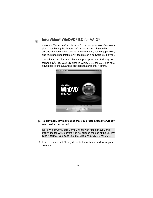## **InterVideo® WinDVD® BD for VAIO®**

 $\circledR$ 

InterVideo® WinDVD® BD for VAIO® is an easy-to-use software BD player combining the features of a standard BD player with advanced functionality, such as time-stretching, zooming, panning, and thumbnail bookmarks only possible on a software BD player<sup>3</sup>.

The WinDVD BD for VAIO player supports playback of Blu-ray Disc technology2. Play your BD discs in WinDVD BD for VAIO and take advantage of the advanced playback features that it offers.



#### **To play a Blu-ray movie disc that you created, use InterVideo® WinDVD® BD for VAIO® 2.**

**Note**: Windows® Media Center, Windows® Media Player, and InterVideo for VAIO currently do not support the use of the Blu-ray Disc™ format. You must use InterVideo WinDVD BD for VAIO.

 1 Insert the recorded Blu-ray disc into the optical disc drive of your computer.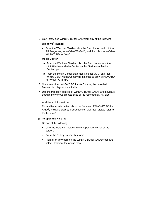2 Start InterVideo WinDVD BD for VAIO from any of the following:

#### **Windows® Taskbar**

• From the Windows Taskbar, click the **Start** button and point to **All Programs**, **InterVideo WinDVD**, and then click **InterVideo WinDVD BD for VAIO**.

#### **Media Center**

- a From the Windows Taskbar, click the **Start** button, and then click **Windows Media Center** on the Start menu. Media Center opens.
- b From the Media Center Start menu, select **VAIO**, and then **WinDVD BD**. Media Center will minimize to allow WinDVD BD for VAIO PC to run.
- 3 Once InterVideo WinDVD BD for VAIO starts, the recorded Blu-ray disc plays automatically.
- 4 Use the transport controls of WinDVD BD for VAIO PC to navigate through the various created titles of the recorded Blu-ray disc.

#### **Additional Information**

For additional information about the features of WinDVD**®** BD for VAIO**®**, including step-by-instructions on their use, please refer to the help file<sup>5</sup>.

**To open the Help file** 

Do one of the following:

- Click the Help icon located in the upper right corner of the screen.
- Press the F1 key on your keyboard.
- Right click anywhere on the WinDVD BD for VAIO screen and select Help from the popup menu.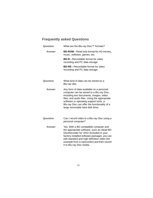## **Frequently asked Questions**

| Question      | What are the Blu-ray Disc™ formats?                                                                                                                                                                                                                                                                              |
|---------------|------------------------------------------------------------------------------------------------------------------------------------------------------------------------------------------------------------------------------------------------------------------------------------------------------------------|
| <b>Answer</b> | <b>BD-ROM-Read only format for HD movies,</b><br>music, software, games, etc.                                                                                                                                                                                                                                    |
|               | <b>BD-R</b> —Recordable format for video<br>recording and PC data storage.                                                                                                                                                                                                                                       |
|               | <b>BD-RE-Recordable format for video</b><br>recording and PC data storage.                                                                                                                                                                                                                                       |
| Question      | What kind of data can be stored on a<br>Blu-ray disc.                                                                                                                                                                                                                                                            |
| <b>Answer</b> | Any form of data available on a personal<br>computer can be stored to a Blu-ray Disc,<br>including text documents, images, video<br>files, and audio files. Using the appropriate<br>software or operating support tools, a<br>Blu-ray Disc can offer the functionality of a<br>large removable hard disk drive. |
| Question      | Can I record video to a Blu-ray Disc using a<br>personal computer?                                                                                                                                                                                                                                               |
| <b>Answer</b> | Yes. With a BD compatible computer and<br>the appropriate software, such as Ulead BD<br>DiscRecorder for VAIO (included in your<br>factory-installed software package), you can<br>edit standard and high definition video (for<br>example from a camcorder) and then record<br>it to Blu-ray Disc media.        |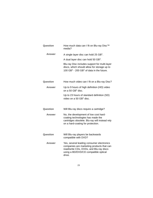| Question | How much data can I fit on Blu-ray Disc™<br>media?                                                                                                                                  |
|----------|-------------------------------------------------------------------------------------------------------------------------------------------------------------------------------------|
| Answer   | A single layer disc can hold 25 GB <sup>1</sup> .                                                                                                                                   |
|          | A dual layer disc can hold 50 GB <sup>1</sup> .                                                                                                                                     |
|          | Blu-ray Disc includes support for multi-layer<br>discs, which should allow for storage up to<br>100 $GB1$ - 200 $GB1$ of data in the future.                                        |
| Question | How much video can I fit on a Blu-ray Disc?                                                                                                                                         |
| Answer   | Up to 9 hours of high definition (HD) video<br>on a 50 $GB1$ disc.                                                                                                                  |
|          | Up to 23 hours of standard definition (SD)<br>video on a 50 GB <sup>1</sup> disc.                                                                                                   |
| Question | Will Blu-ray discs require a cartridge?                                                                                                                                             |
| Answer   | No, the development of low cost hard-<br>coating technologies has made the<br>cartridges obsolete. Blu-ray will instead rely<br>on a hard-coating for protection.                   |
| Question | Will Blu-ray players be backwards<br>compatible with DVD?                                                                                                                           |
| Answer   | Yes, several leading consumer electronics<br>companies are marketing products that can<br>read/write CDs, DVDs, and Blu-ray discs<br>using a BD/DVD/CD compatible optical<br>drive. |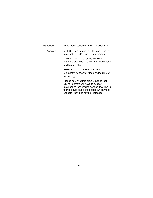| Question      | What video codecs will Blu-ray support?                                                                                                                                                                                 |
|---------------|-------------------------------------------------------------------------------------------------------------------------------------------------------------------------------------------------------------------------|
| <b>Answer</b> | MPEG-2 - enhanced for HD, also used for<br>playback of DVDs and HD recordings.                                                                                                                                          |
|               | MPEG-4 AVC - part of the MPEG-4<br>standard also known as H.264 (High Profile<br>and Main Profile) <sup>2</sup> .                                                                                                       |
|               | SMPTE VC-1 - standard based on<br>Microsoft <sup>®</sup> Windows <sup>®</sup> Media Video (WMV)<br>technology <sup>2</sup> .                                                                                            |
|               | Please note that this simply means that<br>Blu-ray players will have to support<br>playback of these video codecs, it will be up<br>to the movie studios to decide which video<br>codec(s) they use for their releases. |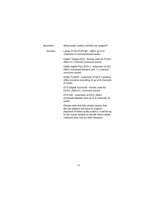| Question | What audio codecs will Blu-ray support?                                                                                                                                                                                 |
|----------|-------------------------------------------------------------------------------------------------------------------------------------------------------------------------------------------------------------------------|
| Answer   | Linear PCM (PLPCM) - offers up to 8<br>channels of uncompressed audio.                                                                                                                                                  |
|          | Dolby <sup>®</sup> Digital (DD) - format used for DVDs,<br>offers 5.1 channel surround sound.                                                                                                                           |
|          | Dolby Digital Plus (DD+) - extension of DD,<br>offers increased bitrates and 7.1 channel<br>surround sound.                                                                                                             |
|          | Dolby TrueHD - extension of MLP Lossless,<br>offers lossless encoding of up to 8 channels<br>of audio.                                                                                                                  |
|          | DTS Digital Surround - format used for<br>DVDs, offers 5.1 surround sound.                                                                                                                                              |
|          | DTS-HD - extension of DTS, offers<br>increased bitrates and up to 8 channels of<br>audio.                                                                                                                               |
|          | Please note that this simply means that<br>Blu-ray players will have to support<br>playback of these audio codecs, it will be up<br>to the movie studios to decide which audio<br>codec(s) they use for their releases. |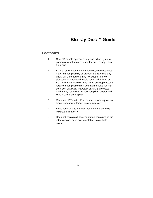## **Blu-ray Disc™ Guide**

## **Footnotes**

- **1** One GB equals approximately one billion bytes, a portion of which may be used for disc management functions
- **2** As with other optical media devices, circumstances may limit compatibility or prevent Blu-ray disc playback. VAIO computers may not support movie playback on packaged media recorded in AVC or VC1 formats at high bit rates. VAIO desktop systems require a compatible high-definition display for high definition playback. Playback of AACS protected media may require an HDCP compliant output and HDCP compliant display.
- **3** Requires HDTV with HDMI connector and equivalent display capability. Image quality may vary
- **4** Video recording to Blu-ray Disc media is done by MPEG2 format only.
- **5** Does not contain all documentation contained in the retail version. Such documentation is available online.